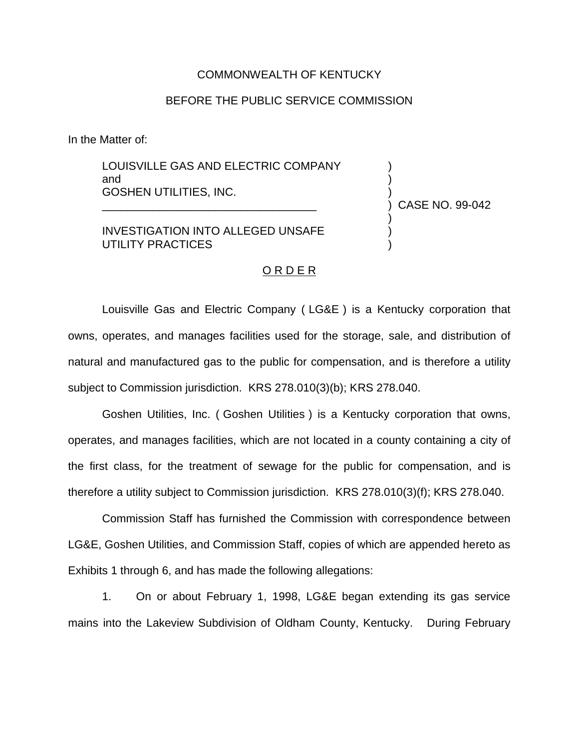## COMMONWEALTH OF KENTUCKY

## BEFORE THE PUBLIC SERVICE COMMISSION

In the Matter of:

LOUISVILLE GAS AND ELECTRIC COMPANY and GOSHEN UTILITIES, INC.

INVESTIGATION INTO ALLEGED UNSAFE UTILITY PRACTICES

\_\_\_\_\_\_\_\_\_\_\_\_\_\_\_\_\_\_\_\_\_\_\_\_\_\_\_\_\_\_\_\_\_\_

) CASE NO. 99-042

) ) )

> ) ) )

## O R D E R

Louisville Gas and Electric Company ( LG&E ) is a Kentucky corporation that owns, operates, and manages facilities used for the storage, sale, and distribution of natural and manufactured gas to the public for compensation, and is therefore a utility subject to Commission jurisdiction. KRS 278.010(3)(b); KRS 278.040.

Goshen Utilities, Inc. ( Goshen Utilities ) is a Kentucky corporation that owns, operates, and manages facilities, which are not located in a county containing a city of the first class, for the treatment of sewage for the public for compensation, and is therefore a utility subject to Commission jurisdiction. KRS 278.010(3)(f); KRS 278.040.

Commission Staff has furnished the Commission with correspondence between LG&E, Goshen Utilities, and Commission Staff, copies of which are appended hereto as Exhibits 1 through 6, and has made the following allegations:

1. On or about February 1, 1998, LG&E began extending its gas service mains into the Lakeview Subdivision of Oldham County, Kentucky. During February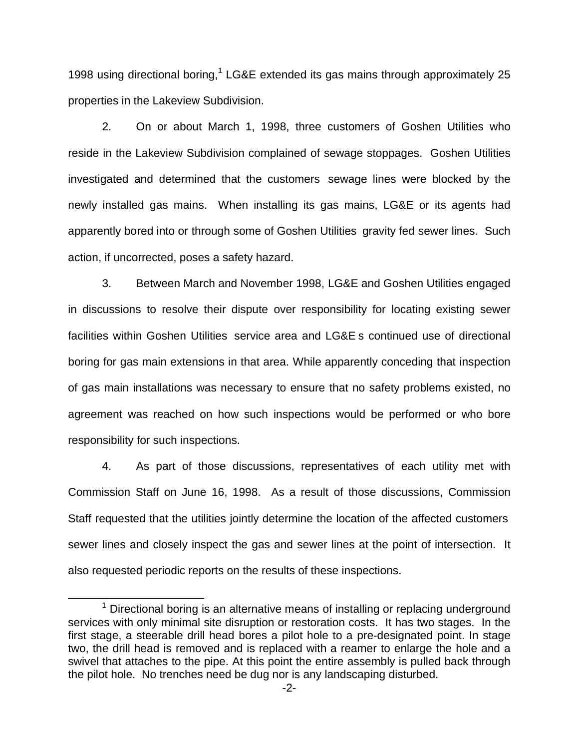1998 using directional boring,<sup>1</sup> LG&E extended its gas mains through approximately 25 properties in the Lakeview Subdivision.

2. On or about March 1, 1998, three customers of Goshen Utilities who reside in the Lakeview Subdivision complained of sewage stoppages. Goshen Utilities investigated and determined that the customers sewage lines were blocked by the newly installed gas mains. When installing its gas mains, LG&E or its agents had apparently bored into or through some of Goshen Utilities gravity fed sewer lines. Such action, if uncorrected, poses a safety hazard.

3. Between March and November 1998, LG&E and Goshen Utilities engaged in discussions to resolve their dispute over responsibility for locating existing sewer facilities within Goshen Utilities service area and LG&E s continued use of directional boring for gas main extensions in that area. While apparently conceding that inspection of gas main installations was necessary to ensure that no safety problems existed, no agreement was reached on how such inspections would be performed or who bore responsibility for such inspections.

4. As part of those discussions, representatives of each utility met with Commission Staff on June 16, 1998. As a result of those discussions, Commission Staff requested that the utilities jointly determine the location of the affected customers sewer lines and closely inspect the gas and sewer lines at the point of intersection. It also requested periodic reports on the results of these inspections.

 $1$  Directional boring is an alternative means of installing or replacing underground services with only minimal site disruption or restoration costs. It has two stages. In the first stage, a steerable drill head bores a pilot hole to a pre-designated point. In stage two, the drill head is removed and is replaced with a reamer to enlarge the hole and a swivel that attaches to the pipe. At this point the entire assembly is pulled back through the pilot hole. No trenches need be dug nor is any landscaping disturbed.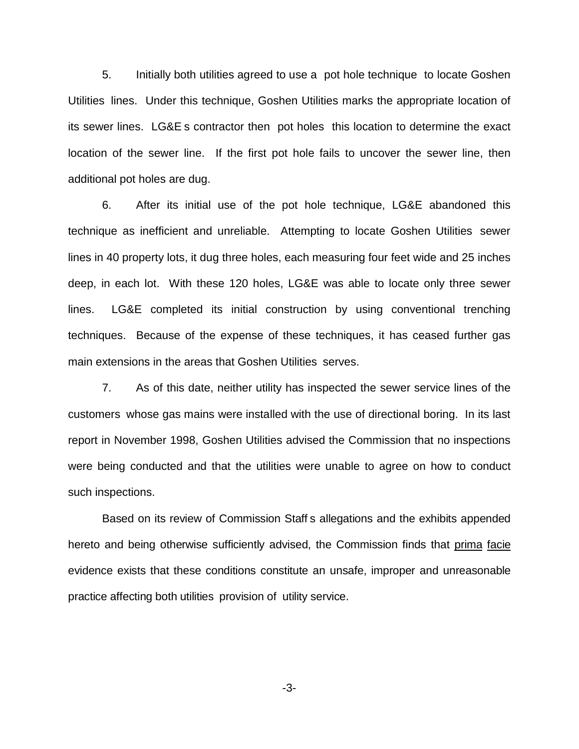5. Initially both utilities agreed to use a pot hole technique to locate Goshen Utilities lines. Under this technique, Goshen Utilities marks the appropriate location of its sewer lines. LG&E s contractor then pot holes this location to determine the exact location of the sewer line. If the first pot hole fails to uncover the sewer line, then additional pot holes are dug.

6. After its initial use of the pot hole technique, LG&E abandoned this technique as inefficient and unreliable. Attempting to locate Goshen Utilities sewer lines in 40 property lots, it dug three holes, each measuring four feet wide and 25 inches deep, in each lot. With these 120 holes, LG&E was able to locate only three sewer lines. LG&E completed its initial construction by using conventional trenching techniques. Because of the expense of these techniques, it has ceased further gas main extensions in the areas that Goshen Utilities serves.

7. As of this date, neither utility has inspected the sewer service lines of the customers whose gas mains were installed with the use of directional boring. In its last report in November 1998, Goshen Utilities advised the Commission that no inspections were being conducted and that the utilities were unable to agree on how to conduct such inspections.

Based on its review of Commission Staff s allegations and the exhibits appended hereto and being otherwise sufficiently advised, the Commission finds that prima facie evidence exists that these conditions constitute an unsafe, improper and unreasonable practice affecting both utilities provision of utility service.

-3-